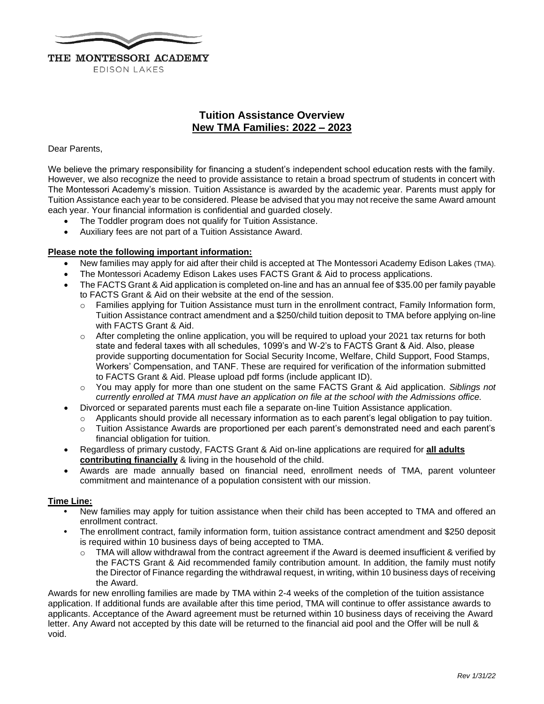

## **Tuition Assistance Overview New TMA Families: 2022 – 2023**

### Dear Parents,

We believe the primary responsibility for financing a student's independent school education rests with the family. However, we also recognize the need to provide assistance to retain a broad spectrum of students in concert with The Montessori Academy's mission. Tuition Assistance is awarded by the academic year. Parents must apply for Tuition Assistance each year to be considered. Please be advised that you may not receive the same Award amount each year. Your financial information is confidential and guarded closely.

- The Toddler program does not qualify for Tuition Assistance.
- Auxiliary fees are not part of a Tuition Assistance Award.

## **Please note the following important information:**

- New families may apply for aid after their child is accepted at The Montessori Academy Edison Lakes (TMA).
- The Montessori Academy Edison Lakes uses FACTS Grant & Aid to process applications.
- The FACTS Grant & Aid application is completed on-line and has an annual fee of \$35.00 per family payable to FACTS Grant & Aid on their website at the end of the session.
	- $\circ$  Families applying for Tuition Assistance must turn in the enrollment contract, Family Information form, Tuition Assistance contract amendment and a \$250/child tuition deposit to TMA before applying on-line with FACTS Grant & Aid.
	- $\circ$  After completing the online application, you will be required to upload your 2021 tax returns for both state and federal taxes with all schedules, 1099's and W-2's to FACTS Grant & Aid. Also, please provide supporting documentation for Social Security Income, Welfare, Child Support, Food Stamps, Workers' Compensation, and TANF. These are required for verification of the information submitted to FACTS Grant & Aid. Please upload pdf forms (include applicant ID).
	- You may apply for more than one student on the same FACTS Grant & Aid application. *Siblings not currently enrolled at TMA must have an application on file at the school with the Admissions office.*
- Divorced or separated parents must each file a separate on-line Tuition Assistance application.
	- $\circ$  Applicants should provide all necessary information as to each parent's legal obligation to pay tuition.
	- o Tuition Assistance Awards are proportioned per each parent's demonstrated need and each parent's financial obligation for tuition.
- Regardless of primary custody, FACTS Grant & Aid on-line applications are required for **all adults contributing financially** & living in the household of the child.
- Awards are made annually based on financial need, enrollment needs of TMA, parent volunteer commitment and maintenance of a population consistent with our mission.

### **Time Line:**

- **•** New families may apply for tuition assistance when their child has been accepted to TMA and offered an enrollment contract.
- **•** The enrollment contract, family information form, tuition assistance contract amendment and \$250 deposit is required within 10 business days of being accepted to TMA.
	- $\circ$  TMA will allow withdrawal from the contract agreement if the Award is deemed insufficient & verified by the FACTS Grant & Aid recommended family contribution amount. In addition, the family must notify the Director of Finance regarding the withdrawal request, in writing, within 10 business days of receiving the Award.

Awards for new enrolling families are made by TMA within 2-4 weeks of the completion of the tuition assistance application. If additional funds are available after this time period, TMA will continue to offer assistance awards to applicants. Acceptance of the Award agreement must be returned within 10 business days of receiving the Award letter. Any Award not accepted by this date will be returned to the financial aid pool and the Offer will be null & void.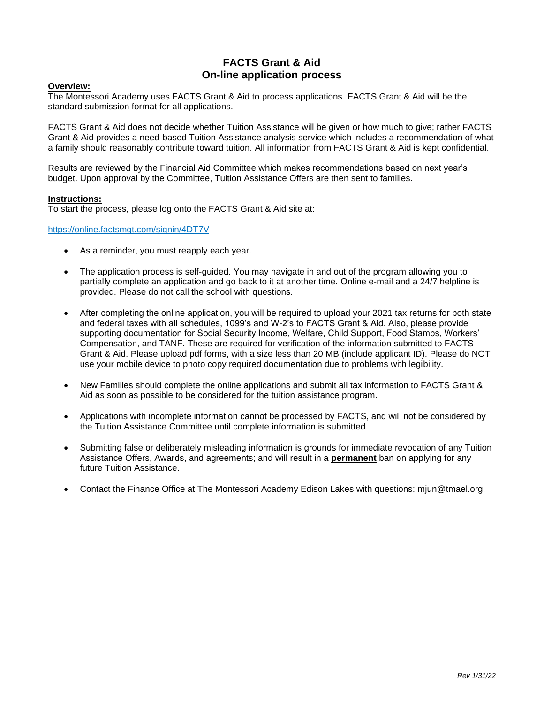## **FACTS Grant & Aid On-line application process**

### **Overview:**

The Montessori Academy uses FACTS Grant & Aid to process applications. FACTS Grant & Aid will be the standard submission format for all applications.

FACTS Grant & Aid does not decide whether Tuition Assistance will be given or how much to give; rather FACTS Grant & Aid provides a need-based Tuition Assistance analysis service which includes a recommendation of what a family should reasonably contribute toward tuition. All information from FACTS Grant & Aid is kept confidential.

Results are reviewed by the Financial Aid Committee which makes recommendations based on next year's budget. Upon approval by the Committee, Tuition Assistance Offers are then sent to families.

#### **Instructions:**

To start the process, please log onto the FACTS Grant & Aid site at:

<https://online.factsmgt.com/signin/4DT7V>

- As a reminder, you must reapply each year.
- The application process is self-guided. You may navigate in and out of the program allowing you to partially complete an application and go back to it at another time. Online e-mail and a 24/7 helpline is provided. Please do not call the school with questions.
- After completing the online application, you will be required to upload your 2021 tax returns for both state and federal taxes with all schedules, 1099's and W-2's to FACTS Grant & Aid. Also, please provide supporting documentation for Social Security Income, Welfare, Child Support, Food Stamps, Workers' Compensation, and TANF. These are required for verification of the information submitted to FACTS Grant & Aid. Please upload pdf forms, with a size less than 20 MB (include applicant ID). Please do NOT use your mobile device to photo copy required documentation due to problems with legibility.
- New Families should complete the online applications and submit all tax information to FACTS Grant & Aid as soon as possible to be considered for the tuition assistance program.
- Applications with incomplete information cannot be processed by FACTS, and will not be considered by the Tuition Assistance Committee until complete information is submitted.
- Submitting false or deliberately misleading information is grounds for immediate revocation of any Tuition Assistance Offers, Awards, and agreements; and will result in a **permanent** ban on applying for any future Tuition Assistance.
- Contact the Finance Office at The Montessori Academy Edison Lakes with questions: mjun@tmael.org.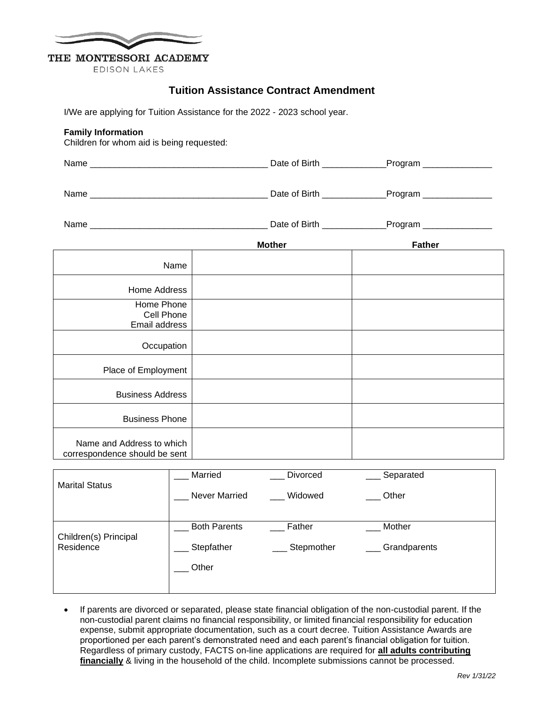

# THE MONTESSORI ACADEMY

**EDISON LAKES** 

## **Tuition Assistance Contract Amendment**

I/We are applying for Tuition Assistance for the 2022 - 2023 school year.

## **Family Information**

Children for whom aid is being requested:

| Name<br>___ | Date $\epsilon$<br>,,,,,,<br>വ<br>.<br>__ | $-$ |
|-------------|-------------------------------------------|-----|
|             |                                           |     |

Name \_\_\_\_\_\_\_\_\_\_\_\_\_\_\_\_\_\_\_\_\_\_\_\_\_\_\_\_\_\_\_\_\_\_\_\_ Date of Birth \_\_\_\_\_\_\_\_\_\_\_\_\_Program \_\_\_\_\_\_\_\_\_\_\_\_\_\_

| Name | .<br>. വ<br>Jate | ------<br>. |
|------|------------------|-------------|
|      | וו ווכ           | πп<br>. .   |

|                                                            | <b>Mother</b> | <b>Father</b> |
|------------------------------------------------------------|---------------|---------------|
| Name                                                       |               |               |
| Home Address                                               |               |               |
| Home Phone<br>Cell Phone<br>Email address                  |               |               |
| Occupation                                                 |               |               |
| Place of Employment                                        |               |               |
| <b>Business Address</b>                                    |               |               |
| <b>Business Phone</b>                                      |               |               |
| Name and Address to which<br>correspondence should be sent |               |               |

| <b>Marital Status</b> | Married             | <b>Divorced</b> | Separated    |
|-----------------------|---------------------|-----------------|--------------|
|                       | Never Married       | Widowed         | Other        |
|                       |                     |                 |              |
| Children(s) Principal | <b>Both Parents</b> | Father          | Mother       |
| Residence             | Stepfather          | Stepmother      | Grandparents |
|                       | Other               |                 |              |
|                       |                     |                 |              |

• If parents are divorced or separated, please state financial obligation of the non-custodial parent. If the non-custodial parent claims no financial responsibility, or limited financial responsibility for education expense, submit appropriate documentation, such as a court decree. Tuition Assistance Awards are proportioned per each parent's demonstrated need and each parent's financial obligation for tuition. Regardless of primary custody, FACTS on-line applications are required for **all adults contributing financially** & living in the household of the child. Incomplete submissions cannot be processed.